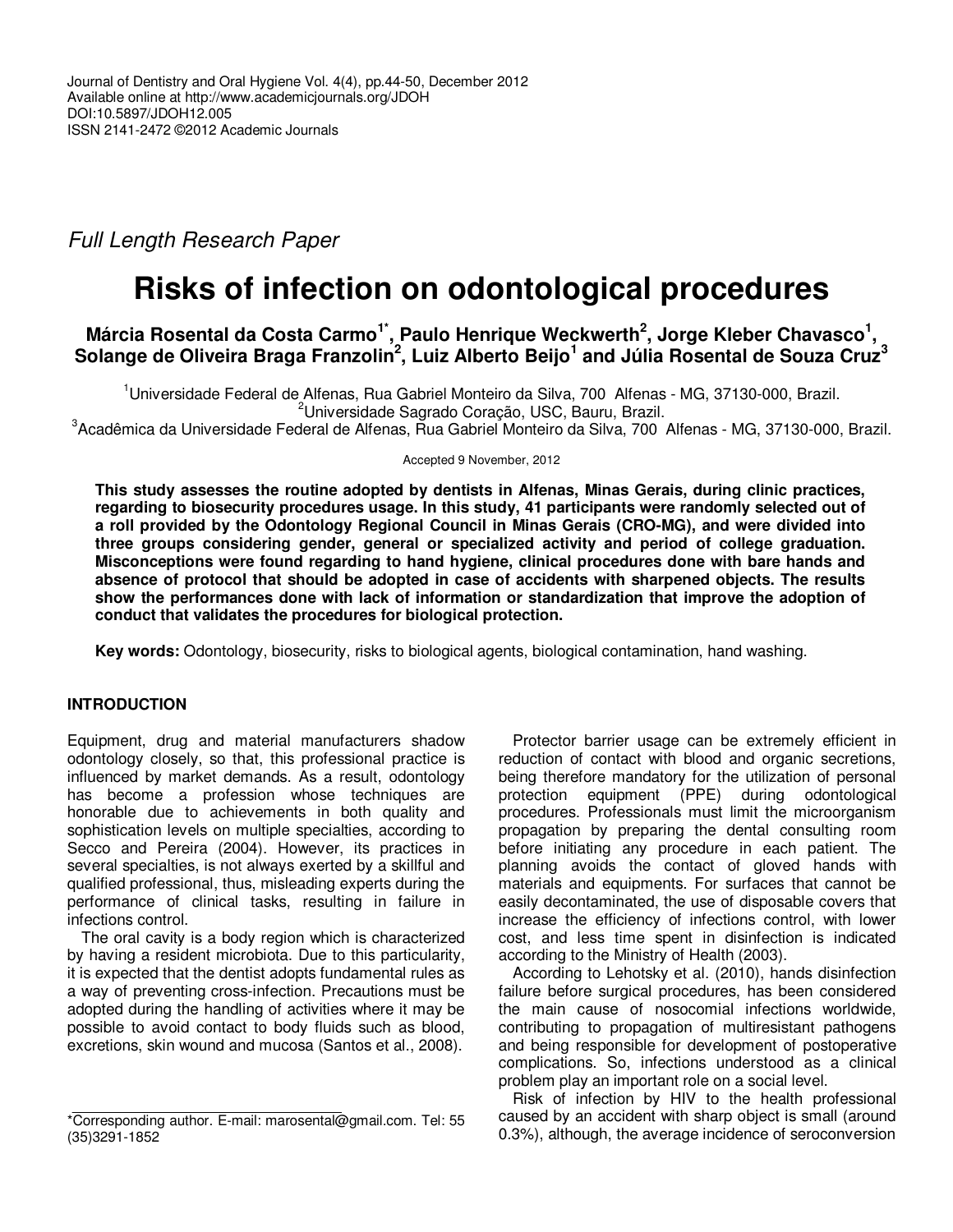# Full Length Research Paper

# **Risks of infection on odontological procedures**

# **Márcia Rosental da Costa Carmo1\*, Paulo Henrique Weckwerth<sup>2</sup> , Jorge Kleber Chavasco<sup>1</sup> , Solange de Oliveira Braga Franzolin<sup>2</sup> , Luiz Alberto Beijo<sup>1</sup> and Júlia Rosental de Souza Cruz<sup>3</sup>**

<sup>1</sup>Universidade Federal de Alfenas, Rua Gabriel Monteiro da Silva, 700 Alfenas - MG, 37130-000, Brazil. <sup>2</sup>Universidade Sagrado Coração, USC, Bauru, Brazil.  $3$ Acadêmica da Universidade Federal de Alfenas, Rua Gabriel Monteiro da Silva, 700 Alfenas - MG, 37130-000, Brazil.

Accepted 9 November, 2012

**This study assesses the routine adopted by dentists in Alfenas, Minas Gerais, during clinic practices, regarding to biosecurity procedures usage. In this study, 41 participants were randomly selected out of a roll provided by the Odontology Regional Council in Minas Gerais (CRO-MG), and were divided into three groups considering gender, general or specialized activity and period of college graduation. Misconceptions were found regarding to hand hygiene, clinical procedures done with bare hands and absence of protocol that should be adopted in case of accidents with sharpened objects. The results show the performances done with lack of information or standardization that improve the adoption of conduct that validates the procedures for biological protection.** 

**Key words:** Odontology, biosecurity, risks to biological agents, biological contamination, hand washing.

## **INTRODUCTION**

Equipment, drug and material manufacturers shadow odontology closely, so that, this professional practice is influenced by market demands. As a result, odontology has become a profession whose techniques are honorable due to achievements in both quality and sophistication levels on multiple specialties, according to Secco and Pereira (2004). However, its practices in several specialties, is not always exerted by a skillful and qualified professional, thus, misleading experts during the performance of clinical tasks, resulting in failure in infections control.

The oral cavity is a body region which is characterized by having a resident microbiota. Due to this particularity, it is expected that the dentist adopts fundamental rules as a way of preventing cross-infection. Precautions must be adopted during the handling of activities where it may be possible to avoid contact to body fluids such as blood, excretions, skin wound and mucosa (Santos et al., 2008).

Protector barrier usage can be extremely efficient in reduction of contact with blood and organic secretions, being therefore mandatory for the utilization of personal protection equipment (PPE) during odontological procedures. Professionals must limit the microorganism propagation by preparing the dental consulting room before initiating any procedure in each patient. The planning avoids the contact of gloved hands with materials and equipments. For surfaces that cannot be easily decontaminated, the use of disposable covers that increase the efficiency of infections control, with lower cost, and less time spent in disinfection is indicated according to the Ministry of Health (2003).

According to Lehotsky et al. (2010), hands disinfection failure before surgical procedures, has been considered the main cause of nosocomial infections worldwide, contributing to propagation of multiresistant pathogens and being responsible for development of postoperative complications. So, infections understood as a clinical problem play an important role on a social level.

Risk of infection by HIV to the health professional caused by an accident with sharp object is small (around 0.3%), although, the average incidence of seroconversion

<sup>\*</sup>Corresponding author. E-mail: marosental@gmail.com. Tel: 55 (35)3291-1852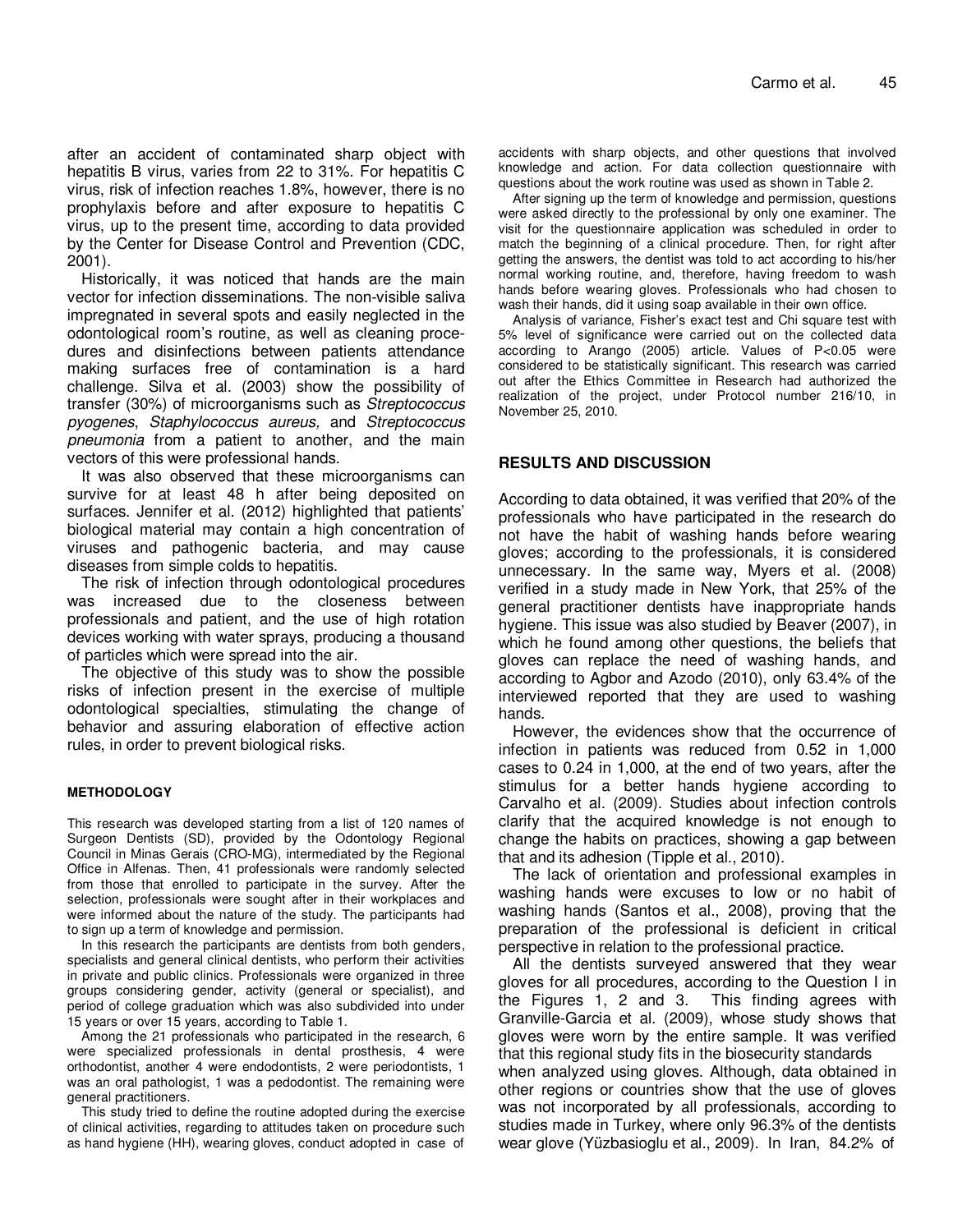after an accident of contaminated sharp object with hepatitis B virus, varies from 22 to 31%. For hepatitis C virus, risk of infection reaches 1.8%, however, there is no prophylaxis before and after exposure to hepatitis C virus, up to the present time, according to data provided by the Center for Disease Control and Prevention (CDC, 2001).

Historically, it was noticed that hands are the main vector for infection disseminations. The non-visible saliva impregnated in several spots and easily neglected in the odontological room's routine, as well as cleaning procedures and disinfections between patients attendance making surfaces free of contamination is a hard challenge. Silva et al. (2003) show the possibility of transfer (30%) of microorganisms such as Streptococcus pyogenes, Staphylococcus aureus, and Streptococcus pneumonia from a patient to another, and the main vectors of this were professional hands.

It was also observed that these microorganisms can survive for at least 48 h after being deposited on surfaces. Jennifer et al. (2012) highlighted that patients' biological material may contain a high concentration of viruses and pathogenic bacteria, and may cause diseases from simple colds to hepatitis.

The risk of infection through odontological procedures was increased due to the closeness between professionals and patient, and the use of high rotation devices working with water sprays, producing a thousand of particles which were spread into the air.

The objective of this study was to show the possible risks of infection present in the exercise of multiple odontological specialties, stimulating the change of behavior and assuring elaboration of effective action rules, in order to prevent biological risks.

#### **METHODOLOGY**

This research was developed starting from a list of 120 names of Surgeon Dentists (SD), provided by the Odontology Regional Council in Minas Gerais (CRO-MG), intermediated by the Regional Office in Alfenas. Then, 41 professionals were randomly selected from those that enrolled to participate in the survey. After the selection, professionals were sought after in their workplaces and were informed about the nature of the study. The participants had to sign up a term of knowledge and permission.

In this research the participants are dentists from both genders, specialists and general clinical dentists, who perform their activities in private and public clinics. Professionals were organized in three groups considering gender, activity (general or specialist), and period of college graduation which was also subdivided into under 15 years or over 15 years, according to Table 1.

Among the 21 professionals who participated in the research, 6 were specialized professionals in dental prosthesis, 4 were orthodontist, another 4 were endodontists, 2 were periodontists, 1 was an oral pathologist, 1 was a pedodontist. The remaining were general practitioners.

This study tried to define the routine adopted during the exercise of clinical activities, regarding to attitudes taken on procedure such as hand hygiene (HH), wearing gloves, conduct adopted in case of accidents with sharp objects, and other questions that involved knowledge and action. For data collection questionnaire with questions about the work routine was used as shown in Table 2.

After signing up the term of knowledge and permission, questions were asked directly to the professional by only one examiner. The visit for the questionnaire application was scheduled in order to match the beginning of a clinical procedure. Then, for right after getting the answers, the dentist was told to act according to his/her normal working routine, and, therefore, having freedom to wash hands before wearing gloves. Professionals who had chosen to wash their hands, did it using soap available in their own office.

Analysis of variance, Fisher's exact test and Chi square test with 5% level of significance were carried out on the collected data according to Arango (2005) article. Values of P<0.05 were considered to be statistically significant. This research was carried out after the Ethics Committee in Research had authorized the realization of the project, under Protocol number 216/10, in November 25, 2010.

### **RESULTS AND DISCUSSION**

According to data obtained, it was verified that 20% of the professionals who have participated in the research do not have the habit of washing hands before wearing gloves; according to the professionals, it is considered unnecessary. In the same way, Myers et al. (2008) verified in a study made in New York, that 25% of the general practitioner dentists have inappropriate hands hygiene. This issue was also studied by Beaver (2007), in which he found among other questions, the beliefs that gloves can replace the need of washing hands, and according to Agbor and Azodo (2010), only 63.4% of the interviewed reported that they are used to washing hands.

However, the evidences show that the occurrence of infection in patients was reduced from 0.52 in 1,000 cases to 0.24 in 1,000, at the end of two years, after the stimulus for a better hands hygiene according to Carvalho et al. (2009). Studies about infection controls clarify that the acquired knowledge is not enough to change the habits on practices, showing a gap between that and its adhesion (Tipple et al., 2010).

The lack of orientation and professional examples in washing hands were excuses to low or no habit of washing hands (Santos et al., 2008), proving that the preparation of the professional is deficient in critical perspective in relation to the professional practice.

All the dentists surveyed answered that they wear gloves for all procedures, according to the Question I in the Figures 1, 2 and 3. This finding agrees with Granville-Garcia et al. (2009), whose study shows that gloves were worn by the entire sample. It was verified that this regional study fits in the biosecurity standards when analyzed using gloves. Although, data obtained in other regions or countries show that the use of gloves was not incorporated by all professionals, according to studies made in Turkey, where only 96.3% of the dentists

wear glove (Yüzbasioglu et al., 2009). In Iran, 84.2% of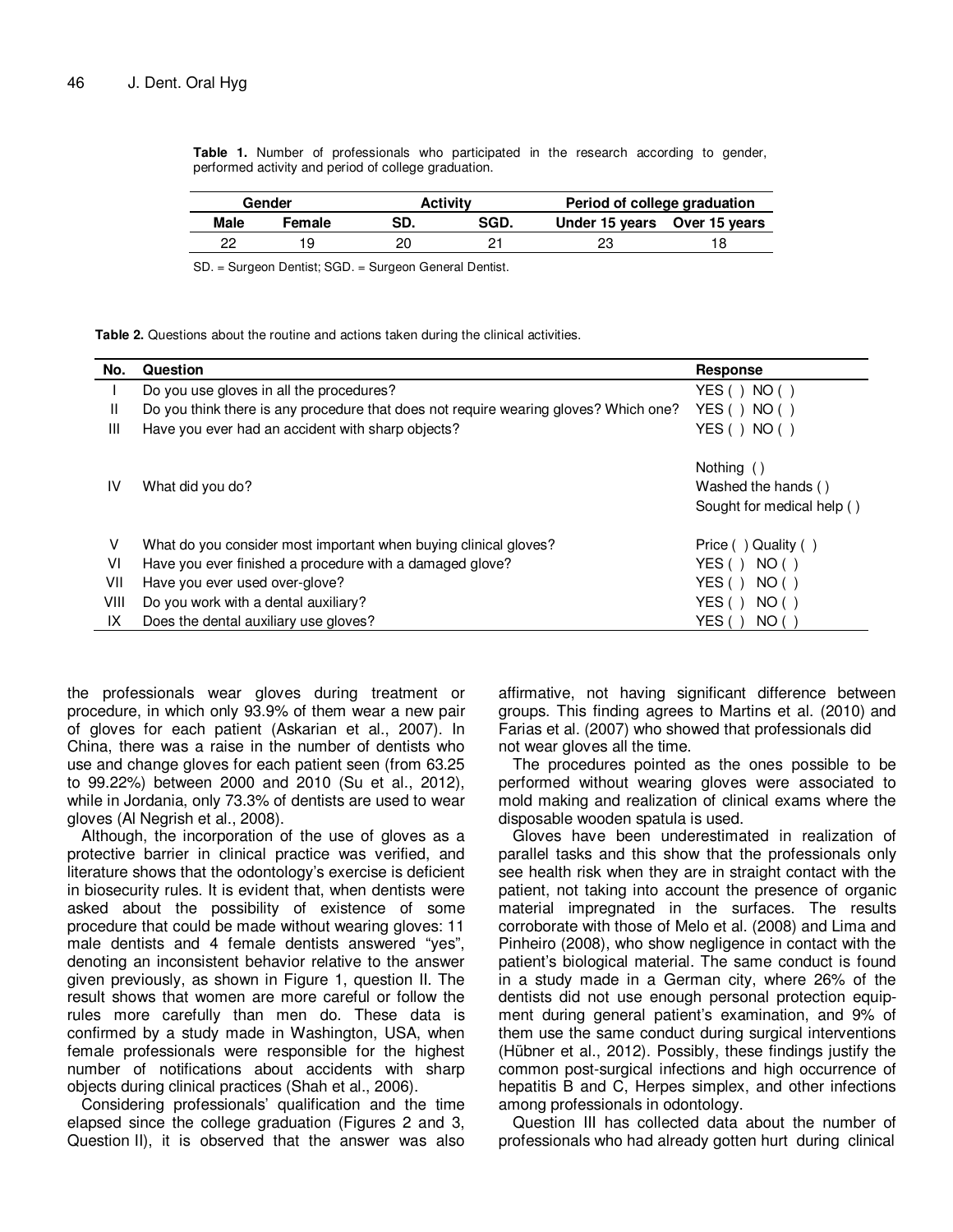**Table 1.** Number of professionals who participated in the research according to gender, performed activity and period of college graduation.

| Gender |        | Activitv |      | Period of college graduation |  |
|--------|--------|----------|------|------------------------------|--|
| Male   | Female | SD.      | SGD. | Under 15 years Over 15 years |  |
| າາ     |        |          |      |                              |  |

SD. = Surgeon Dentist; SGD. = Surgeon General Dentist.

**Table 2.** Questions about the routine and actions taken during the clinical activities.

| No.  | Question                                                                             | Response                                                        |
|------|--------------------------------------------------------------------------------------|-----------------------------------------------------------------|
|      | Do you use gloves in all the procedures?                                             | YES $( )$<br>NO()                                               |
| Ш    | Do you think there is any procedure that does not require wearing gloves? Which one? | YES() NO()                                                      |
| Ш    | Have you ever had an accident with sharp objects?                                    | YES() NO()                                                      |
| IV   | What did you do?                                                                     | Nothing ()<br>Washed the hands ()<br>Sought for medical help () |
| V    | What do you consider most important when buying clinical gloves?                     | Price ()<br>Quality ()                                          |
| VI   | Have you ever finished a procedure with a damaged glove?                             | YES ()<br>NO()                                                  |
| VII  | Have you ever used over-glove?                                                       | YES (<br>NO()                                                   |
| VIII | Do you work with a dental auxiliary?                                                 | YES (<br>NO()                                                   |
| IX   | Does the dental auxiliary use gloves?                                                | YES (<br>NO (                                                   |

the professionals wear gloves during treatment or procedure, in which only 93.9% of them wear a new pair of gloves for each patient (Askarian et al., 2007). In China, there was a raise in the number of dentists who use and change gloves for each patient seen (from 63.25 to 99.22%) between 2000 and 2010 (Su et al., 2012), while in Jordania, only 73.3% of dentists are used to wear gloves (Al Negrish et al., 2008).

Although, the incorporation of the use of gloves as a protective barrier in clinical practice was verified, and literature shows that the odontology's exercise is deficient in biosecurity rules. It is evident that, when dentists were asked about the possibility of existence of some procedure that could be made without wearing gloves: 11 male dentists and 4 female dentists answered "yes", denoting an inconsistent behavior relative to the answer given previously, as shown in Figure 1, question II. The result shows that women are more careful or follow the rules more carefully than men do. These data is confirmed by a study made in Washington, USA, when female professionals were responsible for the highest number of notifications about accidents with sharp objects during clinical practices (Shah et al., 2006).

Considering professionals' qualification and the time elapsed since the college graduation (Figures 2 and 3, Question II), it is observed that the answer was also

affirmative, not having significant difference between groups. This finding agrees to Martins et al. (2010) and Farias et al. (2007) who showed that professionals did not wear gloves all the time.

The procedures pointed as the ones possible to be performed without wearing gloves were associated to mold making and realization of clinical exams where the disposable wooden spatula is used.

Gloves have been underestimated in realization of parallel tasks and this show that the professionals only see health risk when they are in straight contact with the patient, not taking into account the presence of organic material impregnated in the surfaces. The results corroborate with those of Melo et al. (2008) and Lima and Pinheiro (2008), who show negligence in contact with the patient's biological material. The same conduct is found in a study made in a German city, where 26% of the dentists did not use enough personal protection equipment during general patient's examination, and 9% of them use the same conduct during surgical interventions (Hübner et al., 2012). Possibly, these findings justify the common post-surgical infections and high occurrence of hepatitis B and C, Herpes simplex, and other infections among professionals in odontology.

Question III has collected data about the number of professionals who had already gotten hurt during clinical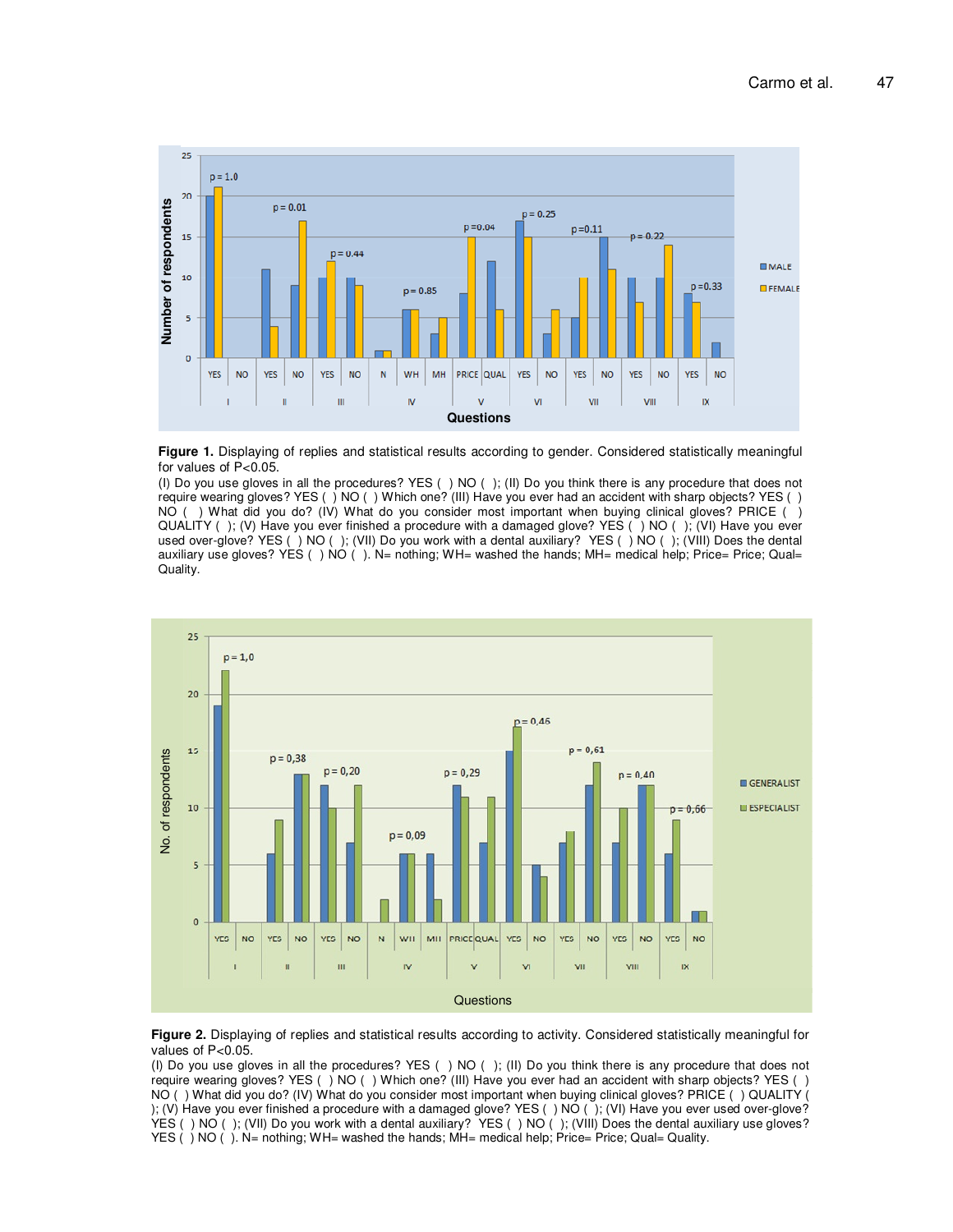



(I) Do you use gloves in all the procedures? YES ( ) NO ( ); (II) Do you think there is any procedure that does not require wearing gloves? YES ( ) NO ( ) Which one? (III) Have you ever had an accident with sharp objects? YES ( ) NO ( ) What did you do? (IV) What do you consider most important when buying clinical gloves? PRICE ( ) QUALITY ( ); (V) Have you ever finished a procedure with a damaged glove? YES ( ) NO ( ); (VI) Have you ever used over-glove? YES ( ) NO ( ); (VII) Do you work with a dental auxiliary? YES ( ) NO ( ); (VIII) Does the dental auxiliary use gloves? YES ()  $\overline{NO}$  (). N= nothing; WH= washed the hands; MH= medical help; Price= Price; Qual= Quality.





(I) Do you use gloves in all the procedures? YES ( ) NO ( ); (II) Do you think there is any procedure that does not require wearing gloves? YES ( ) NO ( ) Which one? (III) Have you ever had an accident with sharp objects? YES ( ) NO ( ) What did you do? (IV) What do you consider most important when buying clinical gloves? PRICE ( ) QUALITY ( ); (V) Have you ever finished a procedure with a damaged glove? YES ( ) NO ( ); (VI) Have you ever used over-glove? YES ( ) NO ( ); (VII) Do you work with a dental auxiliary? YES ( ) NO ( ); (VIII) Does the dental auxiliary use gloves? YES ( ) NO ( ). N= nothing; WH= washed the hands; MH= medical help; Price= Price; Qual= Quality.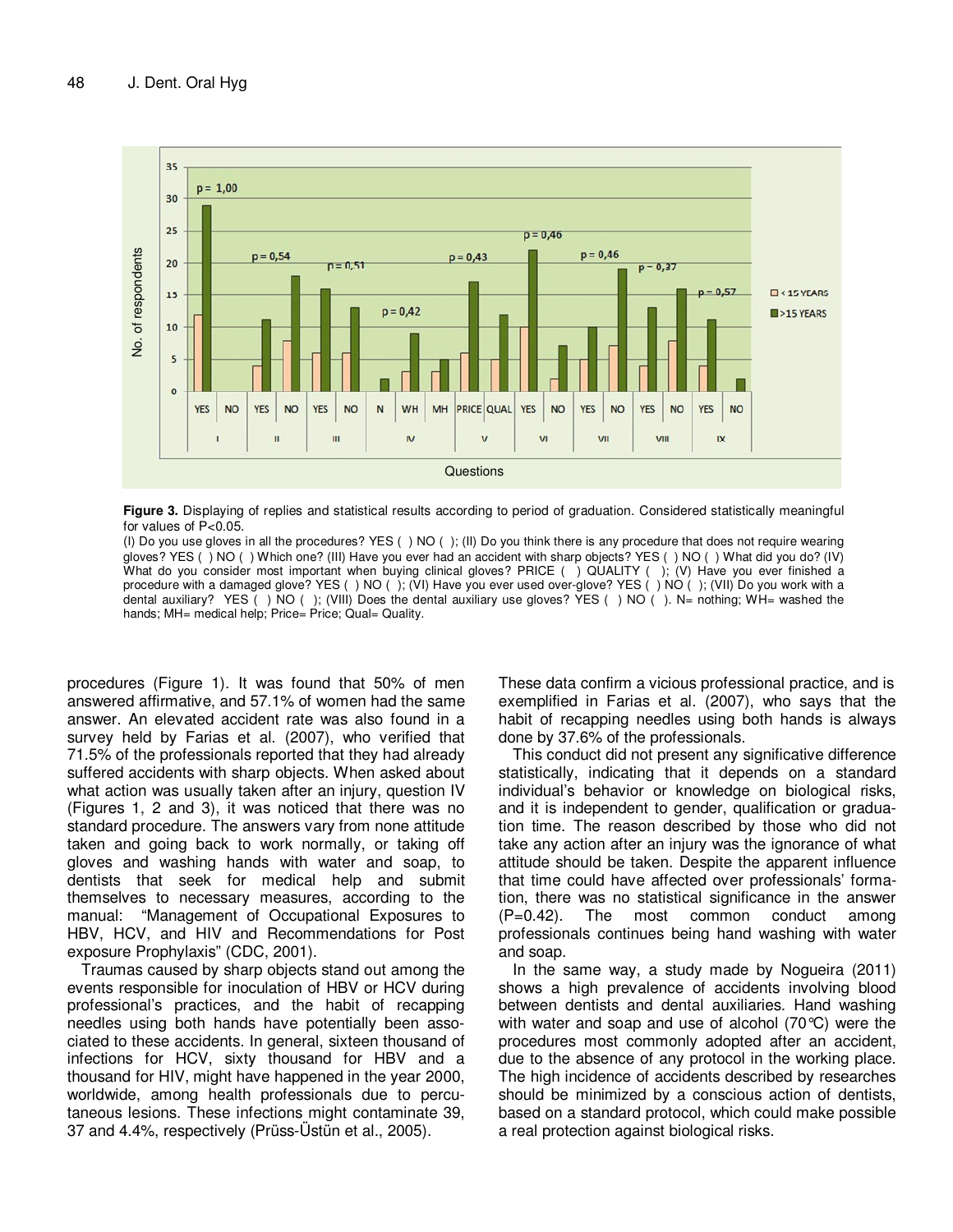

**Figure 3.** Displaying of replies and statistical results according to period of graduation. Considered statistically meaningful for values of P<0.05.

(I) Do you use gloves in all the procedures? YES ( ) NO ( ); (II) Do you think there is any procedure that does not require wearing gloves? YES ( ) NO ( ) Which one? (III) Have you ever had an accident with sharp objects? YES ( ) NO ( ) What did you do? (IV) What do you consider most important when buying clinical gloves? PRICE () QUALITY (); (V) Have you ever finished a procedure with a damaged glove? YES ( ) NO ( ); (VI) Have you ever used over-glove? YES ( ) NO ( ); (VII) Do you work with a dental auxiliary? YES () NO (); (VIII) Does the dental auxiliary use gloves? YES () NO (). N= nothing; WH= washed the hands; MH= medical help; Price= Price; Qual= Quality.

procedures (Figure 1). It was found that 50% of men answered affirmative, and 57.1% of women had the same answer. An elevated accident rate was also found in a survey held by Farias et al. (2007), who verified that 71.5% of the professionals reported that they had already suffered accidents with sharp objects. When asked about what action was usually taken after an injury, question IV (Figures 1, 2 and 3), it was noticed that there was no standard procedure. The answers vary from none attitude taken and going back to work normally, or taking off gloves and washing hands with water and soap, to dentists that seek for medical help and submit themselves to necessary measures, according to the manual: "Management of Occupational Exposures to HBV, HCV, and HIV and Recommendations for Post exposure Prophylaxis" (CDC, 2001).

Traumas caused by sharp objects stand out among the events responsible for inoculation of HBV or HCV during professional's practices, and the habit of recapping needles using both hands have potentially been associated to these accidents. In general, sixteen thousand of infections for HCV, sixty thousand for HBV and a thousand for HIV, might have happened in the year 2000, worldwide, among health professionals due to percutaneous lesions. These infections might contaminate 39, 37 and 4.4%, respectively (Prüss-Üstün et al., 2005).

These data confirm a vicious professional practice, and is exemplified in Farias et al. (2007), who says that the habit of recapping needles using both hands is always done by 37.6% of the professionals.

This conduct did not present any significative difference statistically, indicating that it depends on a standard individual's behavior or knowledge on biological risks, and it is independent to gender, qualification or graduation time. The reason described by those who did not take any action after an injury was the ignorance of what attitude should be taken. Despite the apparent influence that time could have affected over professionals' formation, there was no statistical significance in the answer (P=0.42). The most common conduct among professionals continues being hand washing with water and soap.

In the same way, a study made by Nogueira (2011) shows a high prevalence of accidents involving blood between dentists and dental auxiliaries. Hand washing with water and soap and use of alcohol (70°C) were the procedures most commonly adopted after an accident, due to the absence of any protocol in the working place. The high incidence of accidents described by researches should be minimized by a conscious action of dentists, based on a standard protocol, which could make possible a real protection against biological risks.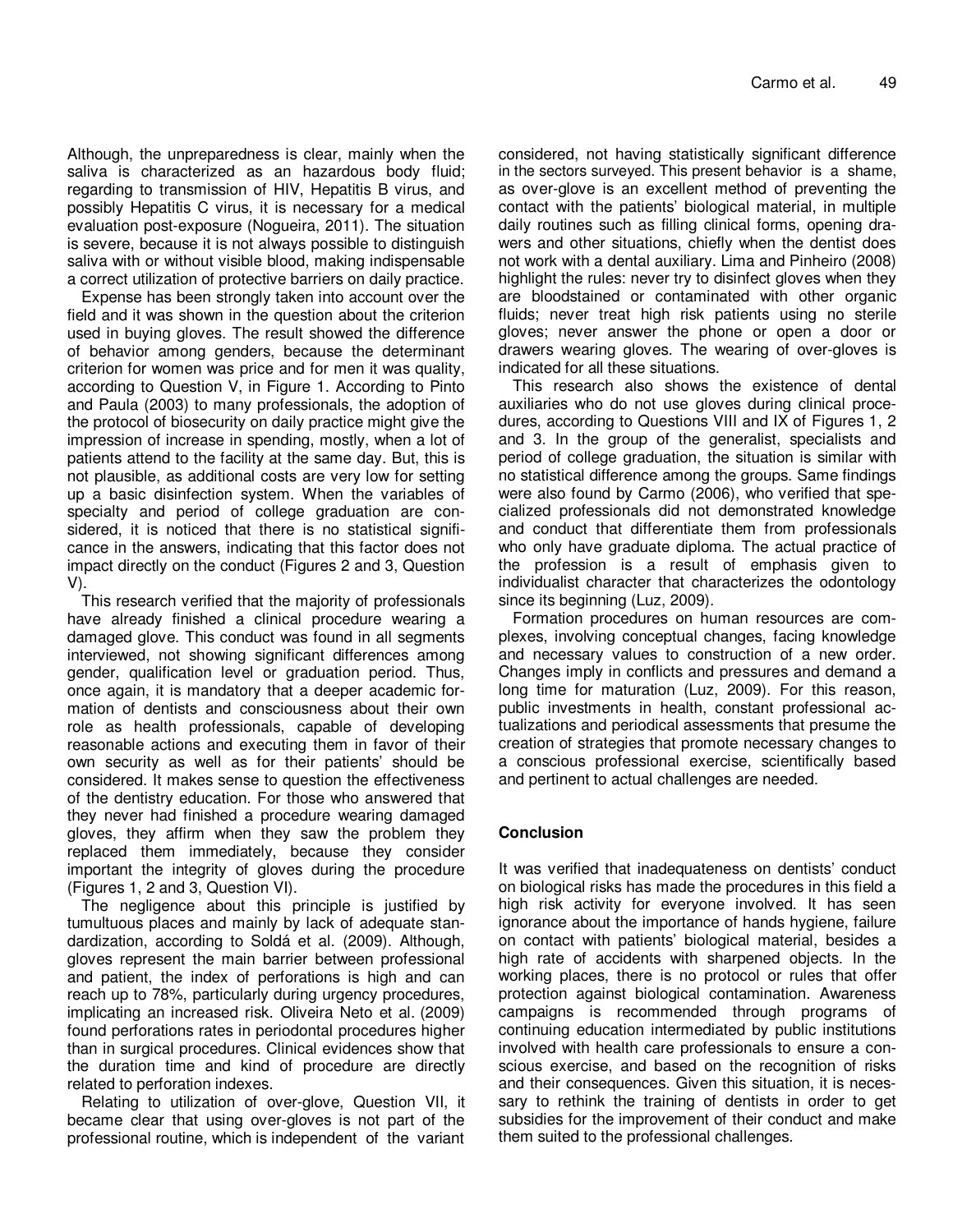Although, the unpreparedness is clear, mainly when the saliva is characterized as an hazardous body fluid; regarding to transmission of HIV, Hepatitis B virus, and possibly Hepatitis C virus, it is necessary for a medical evaluation post-exposure (Nogueira, 2011). The situation is severe, because it is not always possible to distinguish saliva with or without visible blood, making indispensable a correct utilization of protective barriers on daily practice.

Expense has been strongly taken into account over the field and it was shown in the question about the criterion used in buying gloves. The result showed the difference of behavior among genders, because the determinant criterion for women was price and for men it was quality, according to Question V, in Figure 1. According to Pinto and Paula (2003) to many professionals, the adoption of the protocol of biosecurity on daily practice might give the impression of increase in spending, mostly, when a lot of patients attend to the facility at the same day. But, this is not plausible, as additional costs are very low for setting up a basic disinfection system. When the variables of specialty and period of college graduation are considered, it is noticed that there is no statistical significance in the answers, indicating that this factor does not impact directly on the conduct (Figures 2 and 3, Question V).

This research verified that the majority of professionals have already finished a clinical procedure wearing a damaged glove. This conduct was found in all segments interviewed, not showing significant differences among gender, qualification level or graduation period. Thus, once again, it is mandatory that a deeper academic formation of dentists and consciousness about their own role as health professionals, capable of developing reasonable actions and executing them in favor of their own security as well as for their patients' should be considered. It makes sense to question the effectiveness of the dentistry education. For those who answered that they never had finished a procedure wearing damaged gloves, they affirm when they saw the problem they replaced them immediately, because they consider important the integrity of gloves during the procedure (Figures 1, 2 and 3, Question VI).

The negligence about this principle is justified by tumultuous places and mainly by lack of adequate standardization, according to Soldá et al. (2009). Although, gloves represent the main barrier between professional and patient, the index of perforations is high and can reach up to 78%, particularly during urgency procedures, implicating an increased risk. Oliveira Neto et al. (2009) found perforations rates in periodontal procedures higher than in surgical procedures. Clinical evidences show that the duration time and kind of procedure are directly related to perforation indexes.

Relating to utilization of over-glove, Question VII, it became clear that using over-gloves is not part of the professional routine, which is independent of the variant

considered, not having statistically significant difference in the sectors surveyed. This present behavior is a shame, as over-glove is an excellent method of preventing the contact with the patients' biological material, in multiple daily routines such as filling clinical forms, opening drawers and other situations, chiefly when the dentist does not work with a dental auxiliary. Lima and Pinheiro (2008) highlight the rules: never try to disinfect gloves when they are bloodstained or contaminated with other organic fluids; never treat high risk patients using no sterile gloves; never answer the phone or open a door or drawers wearing gloves. The wearing of over-gloves is indicated for all these situations.

This research also shows the existence of dental auxiliaries who do not use gloves during clinical procedures, according to Questions VIII and IX of Figures 1, 2 and 3. In the group of the generalist, specialists and period of college graduation, the situation is similar with no statistical difference among the groups. Same findings were also found by Carmo (2006), who verified that specialized professionals did not demonstrated knowledge and conduct that differentiate them from professionals who only have graduate diploma. The actual practice of the profession is a result of emphasis given to individualist character that characterizes the odontology since its beginning (Luz, 2009).

Formation procedures on human resources are complexes, involving conceptual changes, facing knowledge and necessary values to construction of a new order. Changes imply in conflicts and pressures and demand a long time for maturation (Luz, 2009). For this reason, public investments in health, constant professional actualizations and periodical assessments that presume the creation of strategies that promote necessary changes to a conscious professional exercise, scientifically based and pertinent to actual challenges are needed.

## **Conclusion**

It was verified that inadequateness on dentists' conduct on biological risks has made the procedures in this field a high risk activity for everyone involved. It has seen ignorance about the importance of hands hygiene, failure on contact with patients' biological material, besides a high rate of accidents with sharpened objects. In the working places, there is no protocol or rules that offer protection against biological contamination. Awareness campaigns is recommended through programs of continuing education intermediated by public institutions involved with health care professionals to ensure a conscious exercise, and based on the recognition of risks and their consequences. Given this situation, it is necessary to rethink the training of dentists in order to get subsidies for the improvement of their conduct and make them suited to the professional challenges.